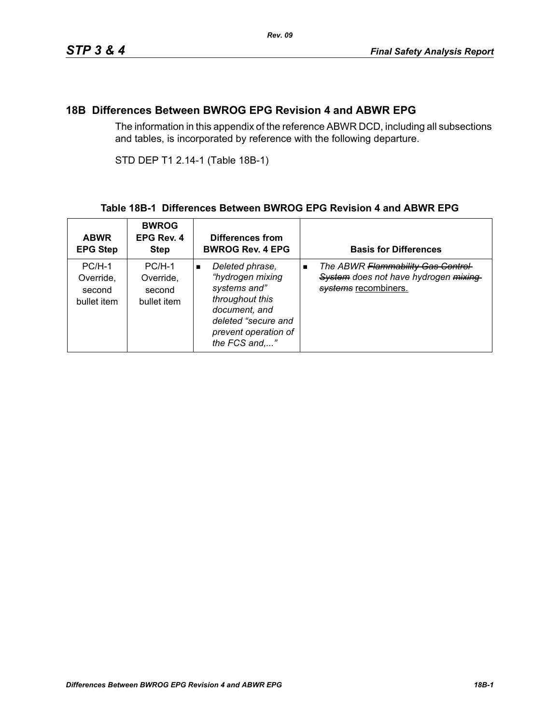### **18B Differences Between BWROG EPG Revision 4 and ABWR EPG**

The information in this appendix of the reference ABWR DCD, including all subsections and tables, is incorporated by reference with the following departure.

STD DEP T1 2.14-1 (Table 18B-1)

#### **Table 18B-1 Differences Between BWROG EPG Revision 4 and ABWR EPG**

| <b>ABWR</b><br><b>EPG Step</b>                 | <b>BWROG</b><br>EPG Rev. 4<br><b>Step</b>      | Differences from<br><b>BWROG Rev. 4 EPG</b>                                                                                                                               | <b>Basis for Differences</b>                                                                                         |
|------------------------------------------------|------------------------------------------------|---------------------------------------------------------------------------------------------------------------------------------------------------------------------------|----------------------------------------------------------------------------------------------------------------------|
| $PC/H-1$<br>Override,<br>second<br>bullet item | $PC/H-1$<br>Override.<br>second<br>bullet item | Deleted phrase,<br>$\blacksquare$<br>"hydrogen mixing<br>systems and"<br>throughout this<br>document, and<br>deleted "secure and<br>prevent operation of<br>the FCS and," | The ABWR Flammability Gas Control-<br>$\blacksquare$<br>System does not have hydrogen mixing<br>systems recombiners. |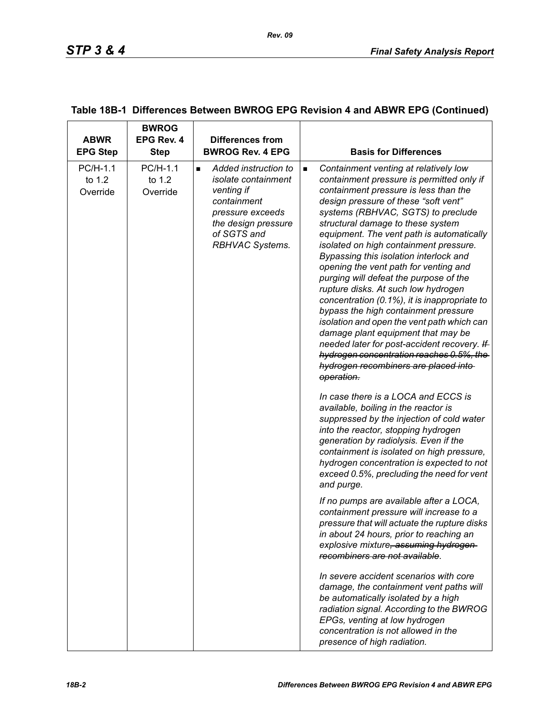| <b>ABWR</b><br><b>EPG Step</b> | <b>BWROG</b><br>EPG Rev. 4<br><b>Step</b> | <b>Differences from</b><br><b>BWROG Rev. 4 EPG</b>                                                                                                                      | <b>Basis for Differences</b>                                                                                                                                                                                                                                                                                                                                                                                                                                                                                                                                                                                                                                                                                                                                                                                                                              |
|--------------------------------|-------------------------------------------|-------------------------------------------------------------------------------------------------------------------------------------------------------------------------|-----------------------------------------------------------------------------------------------------------------------------------------------------------------------------------------------------------------------------------------------------------------------------------------------------------------------------------------------------------------------------------------------------------------------------------------------------------------------------------------------------------------------------------------------------------------------------------------------------------------------------------------------------------------------------------------------------------------------------------------------------------------------------------------------------------------------------------------------------------|
| PC/H-1.1<br>to 1.2<br>Override | PC/H-1.1<br>to 1.2<br>Override            | Added instruction to<br>$\blacksquare$<br>isolate containment<br>venting if<br>containment<br>pressure exceeds<br>the design pressure<br>of SGTS and<br>RBHVAC Systems. | Containment venting at relatively low<br>$\blacksquare$<br>containment pressure is permitted only if<br>containment pressure is less than the<br>design pressure of these "soft vent"<br>systems (RBHVAC, SGTS) to preclude<br>structural damage to these system<br>equipment. The vent path is automatically<br>isolated on high containment pressure.<br>Bypassing this isolation interlock and<br>opening the vent path for venting and<br>purging will defeat the purpose of the<br>rupture disks. At such low hydrogen<br>concentration (0.1%), it is inappropriate to<br>bypass the high containment pressure<br>isolation and open the vent path which can<br>damage plant equipment that may be<br>needed later for post-accident recovery. If<br>hydrogen concentration reaches 0.5%, the<br>hydrogen recombiners are placed into-<br>operation. |
|                                |                                           |                                                                                                                                                                         | In case there is a LOCA and ECCS is<br>available, boiling in the reactor is<br>suppressed by the injection of cold water<br>into the reactor, stopping hydrogen<br>generation by radiolysis. Even if the<br>containment is isolated on high pressure,<br>hydrogen concentration is expected to not<br>exceed 0.5%, precluding the need for vent<br>and purge.                                                                                                                                                                                                                                                                                                                                                                                                                                                                                             |
|                                |                                           |                                                                                                                                                                         | If no pumps are available after a LOCA,<br>containment pressure will increase to a<br>pressure that will actuate the rupture disks<br>in about 24 hours, prior to reaching an<br>explosive mixture, assuming hydrogen-<br>recombiners are not available.                                                                                                                                                                                                                                                                                                                                                                                                                                                                                                                                                                                                  |
|                                |                                           |                                                                                                                                                                         | In severe accident scenarios with core<br>damage, the containment vent paths will<br>be automatically isolated by a high<br>radiation signal. According to the BWROG<br>EPGs, venting at low hydrogen<br>concentration is not allowed in the<br>presence of high radiation.                                                                                                                                                                                                                                                                                                                                                                                                                                                                                                                                                                               |

### **Table 18B-1 Differences Between BWROG EPG Revision 4 and ABWR EPG (Continued)**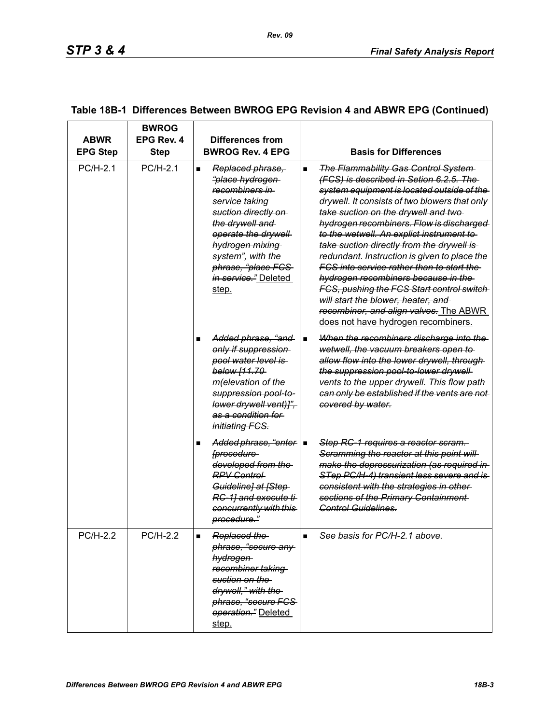| <b>ABWR</b><br><b>EPG Step</b> | <b>BWROG</b><br>EPG Rev. 4<br>Step | Differences from<br><b>BWROG Rev. 4 EPG</b>                                                                                                                                                                                                                                             | <b>Basis for Differences</b>                                                                                                                                                                                                                                                                                                                                                                                                                                                                                                                                                                                                                                                                         |
|--------------------------------|------------------------------------|-----------------------------------------------------------------------------------------------------------------------------------------------------------------------------------------------------------------------------------------------------------------------------------------|------------------------------------------------------------------------------------------------------------------------------------------------------------------------------------------------------------------------------------------------------------------------------------------------------------------------------------------------------------------------------------------------------------------------------------------------------------------------------------------------------------------------------------------------------------------------------------------------------------------------------------------------------------------------------------------------------|
| PC/H-2.1                       | PC/H-2.1                           | Replaced phrase,<br>$\blacksquare$<br><del>"place hydrogen</del><br>recombiners in<br><del>service taking</del><br>suction directly on<br>the drywell and<br>operate the drywell<br>hydrogen mixing<br>system", with the<br>phrase, "place FCS<br><i>in service.</i> " Deleted<br>step. | <b>The Flammability Gas Control System-</b><br>$\blacksquare$<br>(FCS) is described in Setion 6.2.5. The<br>system equipment is located outside of the<br>drywell. It consists of two blowers that only<br>take suction on the drywell and two-<br>hydrogen recombiners. Flow is discharged<br>to the wetwell. An explict instrument to<br>take suction directly from the drywell is<br>redundant. Instruction is given to place the<br><u>FCS into service rather than to start the </u><br>hydrogen recombiners because in the<br>FCS, pushing the FCS Start control switch<br>will start the blower, heater, and<br>recombiner, and align valves. The ABWR<br>does not have hydrogen recombiners. |
|                                |                                    | Added phrase, "and<br>only if suppression<br>pool water level is<br>below [11.70-<br>m(elevation of the<br>suppression pool-to-<br>lower drywell vent)]",<br>as a condition for<br><i>initiating FCS.</i>                                                                               | When the recombiners discharge into the<br>$\blacksquare$<br>wetwell, the vacuum breakers open to<br>allow flow into the lower drywell, through-<br>the suppression pool-to-lower drywell-<br>vents to the upper drywell. This flow path-<br>can only be established if the vents are not<br>covered by water.                                                                                                                                                                                                                                                                                                                                                                                       |
|                                |                                    | Added phrase, "enter   ■<br>[procedure<br>developed from the<br><b>RPV Control</b><br>Guideline] at [Step-<br>RC-1] and execute ti-<br>concurrently with this<br>procedure."                                                                                                            | Step RC-1 requires a reactor scram.<br>Scramming the reactor at this point will<br>make the depressurization (as required in<br>STep PC/H-4) transient less severe and is<br>consistent with the strategies in other-<br>sections of the Primary Containment<br>Control Guidelines.                                                                                                                                                                                                                                                                                                                                                                                                                  |
| <b>PC/H-2.2</b>                | <b>PC/H-2.2</b>                    | Replaced the<br>phrase, "secure any<br>hydrogen<br>recombiner taking<br>suction on the<br>drywell," with the<br>phrase, "secure FCS-<br>operation." Deleted<br>step.                                                                                                                    | See basis for PC/H-2.1 above.<br>$\blacksquare$                                                                                                                                                                                                                                                                                                                                                                                                                                                                                                                                                                                                                                                      |

# **Table 18B-1 Differences Between BWROG EPG Revision 4 and ABWR EPG (Continued)**